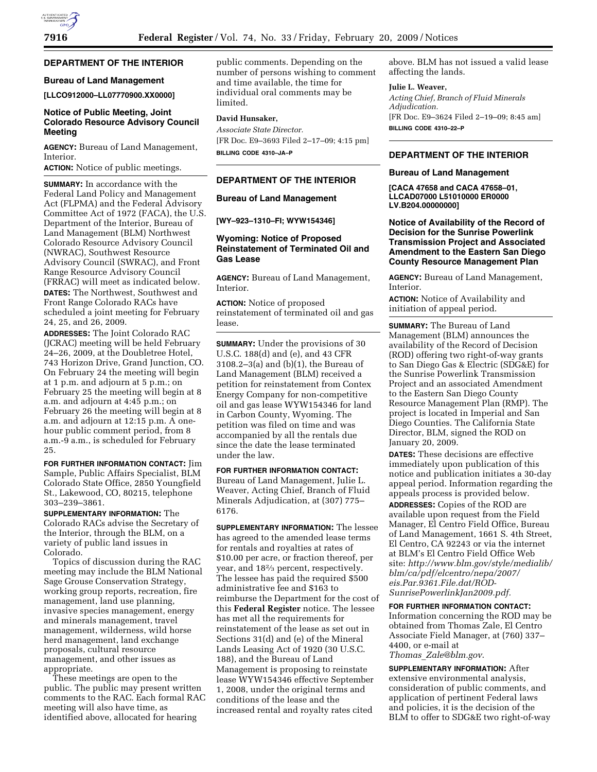# **DEPARTMENT OF THE INTERIOR**

# **Bureau of Land Management**

**[LLCO912000–LL07770900.XX0000]** 

## **Notice of Public Meeting, Joint Colorado Resource Advisory Council Meeting**

**AGENCY:** Bureau of Land Management, Interior.

**ACTION:** Notice of public meetings.

**SUMMARY:** In accordance with the Federal Land Policy and Management Act (FLPMA) and the Federal Advisory Committee Act of 1972 (FACA), the U.S. Department of the Interior, Bureau of Land Management (BLM) Northwest Colorado Resource Advisory Council (NWRAC), Southwest Resource Advisory Council (SWRAC), and Front Range Resource Advisory Council (FRRAC) will meet as indicated below. **DATES:** The Northwest, Southwest and Front Range Colorado RACs have scheduled a joint meeting for February 24, 25, and 26, 2009.

**ADDRESSES:** The Joint Colorado RAC (JCRAC) meeting will be held February 24–26, 2009, at the Doubletree Hotel, 743 Horizon Drive, Grand Junction, CO. On February 24 the meeting will begin at 1 p.m. and adjourn at 5 p.m.; on February 25 the meeting will begin at 8 a.m. and adjourn at 4:45 p.m.; on February 26 the meeting will begin at 8 a.m. and adjourn at 12:15 p.m. A onehour public comment period, from 8 a.m.-9 a.m., is scheduled for February 25.

**FOR FURTHER INFORMATION CONTACT:** Jim Sample, Public Affairs Specialist, BLM Colorado State Office, 2850 Youngfield St., Lakewood, CO, 80215, telephone 303–239–3861.

**SUPPLEMENTARY INFORMATION:** The Colorado RACs advise the Secretary of the Interior, through the BLM, on a variety of public land issues in Colorado.

Topics of discussion during the RAC meeting may include the BLM National Sage Grouse Conservation Strategy, working group reports, recreation, fire management, land use planning, invasive species management, energy and minerals management, travel management, wilderness, wild horse herd management, land exchange proposals, cultural resource management, and other issues as appropriate.

These meetings are open to the public. The public may present written comments to the RAC. Each formal RAC meeting will also have time, as identified above, allocated for hearing

public comments. Depending on the number of persons wishing to comment and time available, the time for individual oral comments may be limited.

## **David Hunsaker,**

*Associate State Director.*  [FR Doc. E9–3693 Filed 2–17–09; 4:15 pm] **BILLING CODE 4310–JA–P** 

**DEPARTMENT OF THE INTERIOR** 

**Bureau of Land Management** 

**[WY–923–1310–FI; WYW154346]** 

## **Wyoming: Notice of Proposed Reinstatement of Terminated Oil and Gas Lease**

**AGENCY:** Bureau of Land Management, Interior.

**ACTION:** Notice of proposed reinstatement of terminated oil and gas lease.

**SUMMARY:** Under the provisions of 30 U.S.C. 188(d) and (e), and 43 CFR 3108.2–3(a) and (b)(1), the Bureau of Land Management (BLM) received a petition for reinstatement from Contex Energy Company for non-competitive oil and gas lease WYW154346 for land in Carbon County, Wyoming. The petition was filed on time and was accompanied by all the rentals due since the date the lease terminated under the law.

**FOR FURTHER INFORMATION CONTACT:**  Bureau of Land Management, Julie L. Weaver, Acting Chief, Branch of Fluid Minerals Adjudication, at (307) 775– 6176.

**SUPPLEMENTARY INFORMATION:** The lessee has agreed to the amended lease terms for rentals and royalties at rates of \$10.00 per acre, or fraction thereof, per year, and 182⁄3 percent, respectively. The lessee has paid the required \$500 administrative fee and \$163 to reimburse the Department for the cost of this **Federal Register** notice. The lessee has met all the requirements for reinstatement of the lease as set out in Sections 31(d) and (e) of the Mineral Lands Leasing Act of 1920 (30 U.S.C. 188), and the Bureau of Land Management is proposing to reinstate lease WYW154346 effective September 1, 2008, under the original terms and conditions of the lease and the increased rental and royalty rates cited

above. BLM has not issued a valid lease affecting the lands.

### **Julie L. Weaver,**

*Acting Chief, Branch of Fluid Minerals Adjudication.*  [FR Doc. E9–3624 Filed 2–19–09; 8:45 am] **BILLING CODE 4310–22–P** 

### **DEPARTMENT OF THE INTERIOR**

### **Bureau of Land Management**

**[CACA 47658 and CACA 47658–01, LLCAD07000 L51010000 ER0000 LV.B204.00000000]** 

**Notice of Availability of the Record of Decision for the Sunrise Powerlink Transmission Project and Associated Amendment to the Eastern San Diego County Resource Management Plan** 

**AGENCY:** Bureau of Land Management, Interior.

**ACTION:** Notice of Availability and initiation of appeal period.

**SUMMARY:** The Bureau of Land Management (BLM) announces the availability of the Record of Decision (ROD) offering two right-of-way grants to San Diego Gas & Electric (SDG&E) for the Sunrise Powerlink Transmission Project and an associated Amendment to the Eastern San Diego County Resource Management Plan (RMP). The project is located in Imperial and San Diego Counties. The California State Director, BLM, signed the ROD on January 20, 2009.

**DATES:** These decisions are effective immediately upon publication of this notice and publication initiates a 30-day appeal period. Information regarding the appeals process is provided below.

**ADDRESSES:** Copies of the ROD are available upon request from the Field Manager, El Centro Field Office, Bureau of Land Management, 1661 S. 4th Street, El Centro, CA 92243 or via the internet at BLM's El Centro Field Office Web site: *http://www.blm.gov/style/medialib/ blm/ca/pdf/elcentro/nepa/2007/ eis.Par.9361.File.dat/ROD-SunrisePowerlinkJan2009.pdf.* 

**FOR FURTHER INFORMATION CONTACT:**  Information concerning the ROD may be obtained from Thomas Zale, El Centro Associate Field Manager, at (760) 337– 4400, or e-mail at *Thomas*\_*Zale@blm.gov*.

**SUPPLEMENTARY INFORMATION:** After extensive environmental analysis, consideration of public comments, and application of pertinent Federal laws and policies, it is the decision of the BLM to offer to SDG&E two right-of-way